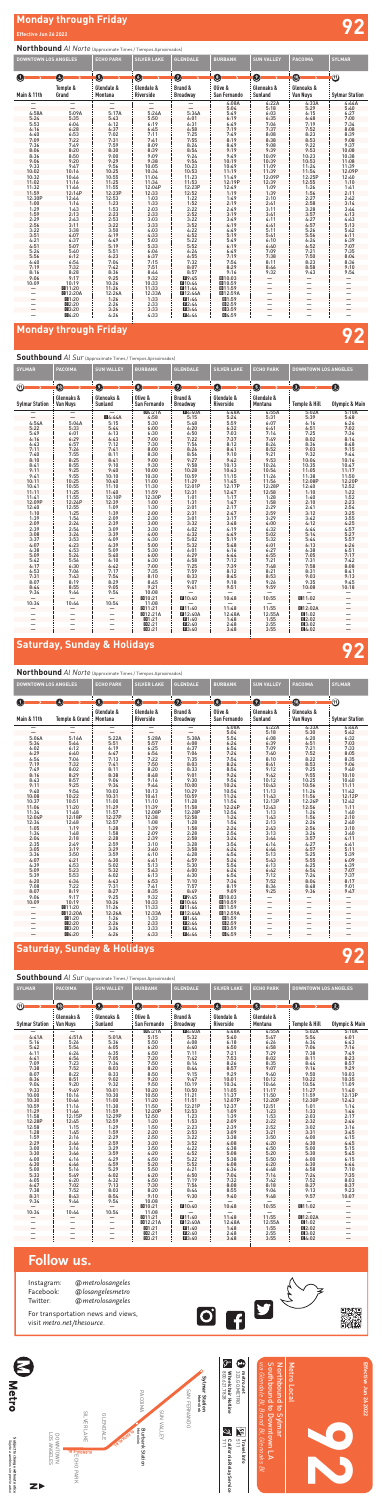# **Monday through Friday Effective Jun 26 2022 92**

# **Monday through Friday 92**

## **Saturday, Sunday & Holidays 92**

## **Saturday, Sunday & Holidays 92**

### **Northbound** *Al Norte* (Approximate Times / Tiempos Aproximados)

### **Southbound** *Al Sur* (Approximate Times / Tiempos Aproximados)

| <b>DOWNTOWN LOS ANGELES</b> |                     | <b>ECHO PARK</b> | <b>SILVER LAKE</b>      | <b>GLENDALE</b>                         | <b>BURBANK</b>                                                   | <b>SUN VALLEY</b>             | <b>PACOIMA</b>           | <b>SYLMAR</b>         |
|-----------------------------|---------------------|------------------|-------------------------|-----------------------------------------|------------------------------------------------------------------|-------------------------------|--------------------------|-----------------------|
| O                           | Ø<br>Temple &       | 0<br>Glendale &  | $\bullet$<br>Glendale & | Ø<br>Brand &                            | $\bullet$<br>Olive &                                             | Ø<br>Glenoaks &               | $\bullet$<br>Glenoaks &  | ⑩                     |
| Main & 11th                 | Grand               | Montana          | Riverside               | <b>Broadway</b>                         | San Fernando                                                     | <b>Sunland</b>                | <b>Van Nuys</b>          | <b>Sylmar Station</b> |
|                             |                     |                  |                         |                                         | 4:08A                                                            | 4:22A                         | 4:33A                    | 4:44A                 |
|                             |                     |                  |                         |                                         | 5:04                                                             | 5:18                          | 5:29                     | 5:40                  |
| 4:58A                       | 5:09A               | 5:17A            | 5:24A                   | 5:34A                                   | 5:49                                                             | 6:03                          | 6:15                     | 6:27                  |
| 5:24                        | 5:35                | 5:43             | 5:50                    | 6:01                                    | 6:19                                                             | 6:35                          | 6:48                     | 7:00                  |
| 5:53                        | 6:04                | 6:12             | 6:19                    | 6:31                                    | 6:49                                                             | 7:06                          | 7:19                     | 7:34                  |
| 6:16                        | 6:28                | 6:37             | 6:45                    | 6:58                                    | 7:19                                                             | 7:37                          | 7:52                     | 8:08                  |
| 6:40                        | 6:53                | 7:02             | 7:11                    |                                         |                                                                  |                               | 8:23                     | 8:39                  |
| 7:09                        | 7:22                | 7:31             | 7:41                    | $7:25$<br>$7:55$                        | $7:49$<br>8:19                                                   | $8:08$<br>$8:38$              | 8:53                     | 9:08                  |
| 7:36                        | 7:49                | 7:59             | 8:09                    | 8:24                                    | 8:49                                                             | $9:08$<br>$9:39$<br>$10:09$   | 9:22                     | 9:37                  |
|                             | 8:20                | 8:30             | 8:39<br>9:09            | $8:54$<br>9:24                          | $9:19$<br>$9:49$                                                 |                               | 9:53                     | 10:08                 |
| $8:06$<br>$8:36$            | 8:50                | 9:00             |                         |                                         |                                                                  |                               | 10:23<br>10:53           | 10:38                 |
| 9:06                        | 9:20                | 9:29             | 9:38                    |                                         | 10:19                                                            |                               |                          | 11:08                 |
| 9:33                        |                     | 9:56             |                         |                                         |                                                                  |                               |                          |                       |
| 10:02                       | $9:47$<br>10:16     | 10:25            | 10:05<br>10:34          | $9:54$<br>$10:23$<br>$10:53$<br>$11:23$ | $\frac{10:49}{11:19}$                                            | $10:39$<br>$11:09$<br>$11:39$ | 11:24<br>11:54<br>12:25P | 11:39<br>12:09P       |
| 10:32                       | 10:46               | 10:55            | 11:04                   |                                         | $\begin{array}{c} 11.149 \\ 12.19P \\ 12.49 \\ 1.19 \end{array}$ | 12:09P                        |                          | 12:40                 |
| $11:02$<br>$11:32$          | 11:16               | 11:25            | 11:34<br>12:04P         | $11:53$<br>$12:23P$                     |                                                                  | 12:39                         | 12:55                    | 1:10                  |
|                             | $11:46$<br>$12:14P$ | 11:55            |                         |                                         |                                                                  | 1:09                          | 1:26                     | 1:41                  |
| 11:59                       |                     | 12:23P           | 12:33                   | 12:52                                   |                                                                  | 1:39                          | 1:56                     | 2:11                  |
| 12:30P                      | 12:44               | 12:53            | 1:03                    | 1:22                                    |                                                                  | 2:10                          | 2:27                     | 2:42                  |
| 1:00                        | 1:14                | 1:23             | 1:33                    | 1:52                                    | $1:49$<br>$2:19$                                                 | 2:41                          | 2:58                     | 3:14                  |
| 1:29                        | 1:43                | 1:53             | 2:03                    | 2:22                                    | 2:49                                                             | 3:11                          | 3:28                     | 3:44                  |
| 1:59                        | 2:13                | 2:23             | 2:33                    |                                         | 3:19                                                             | 3:41                          | 3:57                     | 4:13                  |
| 2:29                        | 2:43                | 2:53             |                         | $2:52$<br>$3:22$                        | 3:49                                                             | 4:11                          | 4:27                     | 4:43                  |
| 2:56                        | 3:11                | 3:22             | $3:03$<br>$3:33$        | 3:52                                    | 4:19                                                             | 4:41                          | 4:57                     | 5:13                  |
| 3:22                        | 3:38                | 3:50             |                         |                                         |                                                                  | 5:11                          | 5:26                     | 5:42                  |
| 3:51                        | 4:07                | 4:19             | $4:03$<br>$4:33$        | $4:22$<br>$4:52$                        | $4:49$<br>5:19                                                   | 5:41                          | 5:56                     | 6:11                  |
| 4:21                        | 4:37                | 4:49             | 5:03                    | 5:22                                    | 5:49                                                             | 6:10                          | 6:24                     | 6:39                  |
| 4:51                        | 5:07                | 5:19             | 5:33                    | 5:52                                    |                                                                  | 6:40                          | 6:52                     | 7:07                  |
| 5:24                        | 5:40                | 5:51             | 6:06                    | 6:24                                    | $6:19$<br>$6:49$<br>$7:19$                                       | 7:09                          | 7:21                     | 7:35                  |
| 5:56                        | 6:12                | 6:23             | 6:37                    | 6:55                                    |                                                                  | 7:38                          | 7:50                     | 8:04                  |
|                             |                     | 7:04             |                         |                                         | $7:54$<br>8:29<br>9:16<br>9:10:03                                | 8:11                          |                          | 8:36                  |
| $6:40$<br>7:19              | $6:54$<br>$7:32$    | 7:42             | $7:15$<br>$7:51$        | $7:32$<br>8:07                          |                                                                  | 8:46                          | $8:23$<br>$8:58$         | 9:10                  |
| 8:16                        |                     |                  |                         |                                         |                                                                  | 9:32                          | 9:43                     | 9:54                  |
| 9:06                        | $8:28$<br>9:17      | $8:36$<br>9:25   | $8:44$<br>9:32<br>10:33 | 8:57                                    |                                                                  |                               |                          |                       |
| 10:09                       | 10:19               | 10:26            |                         | ■10:44                                  |                                                                  |                               | —                        |                       |
|                             | <b>@11:20</b>       | 11:26            | 11:33                   | 11:44                                   | 图10:59<br>图11:59                                                 |                               |                          |                       |
|                             | <b>C</b> 12:20A     | 12:26A           |                         | <b>■12:44A</b>                          |                                                                  | —                             |                          |                       |
|                             | 01:20               | 1:26             | 12:33A<br>1:33          | $\Pi1:44$                               | <b>回12:59A</b><br>回1:59                                          |                               |                          |                       |
|                             | Q2:20               | 2:26             | 2:33                    | ■2:44                                   | ■2:59                                                            |                               |                          |                       |
|                             | Q3:20               | 3:26             | 3:33                    | 13:44                                   | ■3:59                                                            |                               |                          |                       |
|                             | 图4:20               | 4:26             | 4:33                    | ■4:44                                   | <b>C</b> 4:59                                                    |                               |                          |                       |
|                             |                     |                  |                         |                                         |                                                                  |                               |                          |                       |

**Northbound** *Al Norte* (Approximate Times / Tiempos Aproximados)

*via Glendale Bl, Brand Bl, Glenoaks Bl* Southbound to Downtown LA Northbound to Sylmar  $\begin{array}{|c|c|c|c|}\hline \text{S}}\mathbb{S}\mathbb{S}\mathbb{S}^n & \text{S}\mathbb{S}^n & \text{S}\ \hline \text{S}\mathbb{S}\mathbb{S}\mathbb{S}^n & \text{S}\mathbb{S}^n & \text{S}\ \hline \text{S}\mathbb{S}\mathbb{S}\mathbb{S}^n & \text{S}\mathbb{S}^n & \text{S}\ \hline \text{S}\mathbb{S}\mathbb{S}\mathbb{S}^n & \text{S}\ \hline \text{S}\mathbb{S}\mathbb{S}^n & \text{S}\ \hline \text{S}\mathbb{S}\mathbb{$  $\frac{1}{2}$  is  $\frac{1}{2}$  in  $\frac{1}{2}$  in  $\frac{1}{2}$  in  $\frac{1}{2}$  in  $\frac{1}{2}$  in  $\frac{1}{2}$  in  $\frac{1}{2}$ 

| <b>SYLMAR</b>         | PACOIMA                       | <b>SUN VALLEY</b>            | <b>BURBANK</b>          | <b>GLENDALE</b>                           | <b>SILVER LAKE</b>                                                                            | <b>ECHO PARK</b>                                     | <b>DOWNTOWN LOS ANGELES</b> |                           |
|-----------------------|-------------------------------|------------------------------|-------------------------|-------------------------------------------|-----------------------------------------------------------------------------------------------|------------------------------------------------------|-----------------------------|---------------------------|
| டு                    | $\bf \Phi$                    | Ø                            | O                       | Ø                                         | O                                                                                             | 0                                                    | 0                           | $\bullet$                 |
| <b>Sylmar Station</b> | Glenoaks &<br><b>Van Nuys</b> | Glenoaks &<br><b>Sunland</b> | Olive &<br>San Fernando | Brand &<br><b>Broadway</b>                | Glendale &<br><b>Riverside</b>                                                                | Glendale &<br>Montana                                | <b>Temple &amp; Hill</b>    | <b>Olympic &amp; Main</b> |
|                       |                               |                              |                         |                                           |                                                                                               |                                                      |                             |                           |
|                       |                               |                              | $\overline{D4:}21A$     | $\overline{14:}40A$                       | 4:48A                                                                                         | 4:55A                                                | 5:02A                       | 5:10A                     |
|                       |                               | <b>14:44A</b>                | 4:58                    | 5:15                                      | $5:24$<br>$5:59$                                                                              | 5:31                                                 | 5:39                        | 5:48                      |
| 4:54A                 | 5:04A                         | 5:15                         | $5:30$<br>$6:00$        | 5:48                                      |                                                                                               | 6:07                                                 | 6:16                        | 6:26                      |
| 5:22                  | 5:33                          | 5:44                         |                         | 6:20                                      | 6:32                                                                                          | 6:41                                                 | 6:51                        | 7:02                      |
| 5:49                  | 6:01                          | 6:13                         | 6:30                    | $6:50$<br>$7:22$                          | $7:03$<br>$7:37$                                                                              | 7:14                                                 | 7:25                        | 7:36                      |
| 6:16                  | 6:29                          | 6:43                         | 7:00                    |                                           |                                                                                               | 7:49                                                 | 8:02                        | 8:14                      |
| 6:43                  | 6:57                          | 7:12                         | 7:30                    | 7:56                                      | 8:12                                                                                          | 8:24                                                 | 8:36                        | 8:48                      |
| 7:11                  | 7:26                          | 7:41                         | 8:00                    | 8:26                                      | $8:41$<br>9:10                                                                                | 8:52                                                 | 9:03                        | 9:15                      |
| 7:40                  | 7:55                          | 8:11                         | 8:30                    | $8:56$<br>9:27                            |                                                                                               | $9:21$<br>$9:53$                                     | 9:32                        | 9:44                      |
| 8:10                  | 8:25                          | 8:41                         | 9:00                    |                                           | 9:42                                                                                          |                                                      | 10:04                       | 10:16                     |
| 8:41                  | $8:55$<br>9:25                | 9:10                         | 9:30                    |                                           | 10:13                                                                                         |                                                      | 10:35                       | 10:47                     |
| 9:11                  |                               | 9:40                         | 10:00                   |                                           |                                                                                               |                                                      | 11:05                       | 11:17                     |
| 9:41                  |                               | 10:10                        | 10:30                   |                                           |                                                                                               |                                                      | 11:38<br>12:08P             | 11:50<br>12:20P           |
| 10:11                 | $9:55$<br>10:25<br>10:55      | 10:40                        | 11:00                   | 9:58<br>10:28<br>10:59<br>11:29<br>12:01P | $\begin{array}{l} 10:13\\10:43\\11:15\\11:45\\12:17\text{P}\\12:47\\1:17\\2:17\\ \end{array}$ | $10:24$<br>$10:54$<br>$11:26$<br>$11:56$<br>$12:28P$ |                             |                           |
| 10:41                 |                               | 11:10                        | 11:30                   |                                           |                                                                                               |                                                      | 12:40                       | 12:52                     |
| 11:11                 | 11:25                         | 11:40                        | 11:59                   | 12:31                                     |                                                                                               | 12:58                                                | 1:10                        | 1:22                      |
| 11:41<br>12:09P       | 11:55<br>12:24P               | 12:10P                       | 12:30P                  | $1:01$<br>$1:31$                          |                                                                                               | $1:28$<br>$1:58$                                     | 1:40                        | 1:52                      |
|                       |                               | 12:39                        | 1:00                    |                                           |                                                                                               |                                                      | 2:10                        | 2:23                      |
| 12:40                 | 12:55                         | 1:09                         | 1:30                    | $2:01$<br>$2:31$                          |                                                                                               | 2:29                                                 | 2:41                        | 2:54                      |
| 1:10                  | 1:25                          | 1:39                         | 2:00                    |                                           | $2:47$<br>$3:17$                                                                              | 2:59                                                 | 3:12                        | $3:25$<br>$3:55$          |
| 1:39                  | 1:54                          | 2:09                         | 2:30                    | $3:01$<br>$3:32$                          |                                                                                               | 3:29                                                 | 3:42                        |                           |
| 2:09                  | 2:24                          | 2:39                         | 3:00                    |                                           | 3:48                                                                                          | 4:00                                                 | 4:12                        | 4:25                      |
| 2:39                  | 2:54                          | 3:09                         | 3:30                    | $4:02$<br>$4:32$                          | 4:19                                                                                          | $4:32$<br>$5:02$                                     | 4:44                        | 4:57                      |
| 3:08                  | 3:24                          | 3:39                         | 4:00                    |                                           | 4:49                                                                                          |                                                      | 5:14                        | 5:27                      |
| 3:37                  | 3:53                          | 4:09                         | 4:30                    | 5:02                                      | 5:19                                                                                          | 5:32                                                 | 5:44                        | 5:57                      |
| 4:07                  | 4:23                          | 4:39                         | 5:00                    | 5:32                                      | 5:48                                                                                          | 6:01                                                 | 6:13                        | 6:26                      |
| 4:38                  | 4:53                          | 5:09                         | 5:30                    | 6:01                                      | 6:16                                                                                          | 6:27                                                 | 6:38                        | 6:51                      |
| 5:09                  | 5:24                          | 5:40                         | 6:00                    | 6:29                                      | 6:44                                                                                          | 6:55                                                 | 7:05                        | 7:17                      |
| 5:42                  | 5:56                          | 6:10                         | 6:30                    | 6:58<br>7:25<br>7:59<br>8:33              | $7:12$<br>$7:39$                                                                              | $7:21$<br>$7:48$                                     | 7:31                        | 7:42                      |
| 6:17                  | 6:30                          | 6:42                         | 7:00                    |                                           |                                                                                               |                                                      | 7:58                        | 8:08                      |
| 6:53                  | $7:06$<br>$7:43$              | $7:17$<br>$7:54$             | 7:35                    |                                           | 8:12                                                                                          | $8:21$<br>$8:53$                                     | 8:31                        | 8:41                      |
| $7:31$<br>$8:07$      |                               |                              | 8:10                    |                                           | 8:45                                                                                          |                                                      | 9:03                        | 9:13                      |
|                       | 8:19                          | 8:29                         | 8:45                    | 9:07                                      | 9:18                                                                                          | 9:26                                                 | 9:35                        | 9:45                      |
| 8:44                  | 8:55                          | 9:05                         | 9:21                    | 9:41                                      | 9:51                                                                                          | 9:59                                                 | 10:08                       | 10:18                     |
| 9:34                  | 9:44                          | 9:54                         | 10:08                   |                                           |                                                                                               |                                                      |                             |                           |
|                       |                               |                              | 回10:21                  | $\Pi$ 10:40                               | $-10:48$                                                                                      | 10:55                                                | 图11:02                      |                           |
| 10:34                 | 10:44                         | 10:54                        | 11:08                   |                                           |                                                                                               |                                                      |                             |                           |
|                       |                               |                              | <b>回11:21</b>           | ■11:40                                    | 11:48<br>12:48A                                                                               | 11:55<br>12:55A                                      | <b>E12:02A</b>              |                           |
|                       |                               |                              | <b>012:21A</b>          | <b>■12:40A</b>                            |                                                                                               |                                                      | ■1:02                       |                           |
|                       |                               |                              | D1:21                   | $\Pi1:40$                                 | 1:48                                                                                          | 1:55                                                 | ■2:02                       |                           |
|                       |                               |                              | D2:21                   | ■2:40                                     | 2:48                                                                                          | 2:55                                                 | ■3:02                       |                           |
|                       |                               |                              | $\square 3:21$          | ■3:40                                     | 3:48                                                                                          | 3:55                                                 | 日4:02                       |                           |
|                       |                               |                              |                         |                                           |                                                                                               |                                                      |                             |                           |

| <b>DOWNTOWN LOS ANGELES</b> |                           | <b>ECHO PARK</b>           | <b>SILVER LAKE</b>                | <b>GLENDALE</b>                       | <b>BURBANK</b>             | <b>SUN VALLEY</b>            | <b>PACOIMA</b>                | <b>SYLMAR</b>                        |
|-----------------------------|---------------------------|----------------------------|-----------------------------------|---------------------------------------|----------------------------|------------------------------|-------------------------------|--------------------------------------|
|                             |                           |                            |                                   |                                       |                            |                              |                               |                                      |
| $\left( 1\right)$           | $\left( 4\right)$         | O                          | O                                 | $\bm{\bm{\omega}}$                    | O                          | $\boldsymbol{\Theta}$        | ⑩                             | $\bm{\textcircled{\small{1}}}$       |
| Main & 11th                 | <b>Temple &amp; Grand</b> | Glendale &<br>Montana      | Glendale &<br><b>Riverside</b>    | <b>Brand &amp;</b><br><b>Broadway</b> | Olive &<br>San Fernando    | Glenoaks &<br><b>Sunland</b> | Glenoaks &<br><b>Van Nuys</b> | <b>Sylmar Station</b>                |
|                             |                           |                            |                                   |                                       | 4:08A                      | 4:22A                        | 4:33A                         | 4:44A                                |
|                             |                           |                            |                                   |                                       | 5:04                       | 5:18                         | 5:30                          | 5:42                                 |
| 5:06A                       | 5:16A                     | 5:22A                      | 5:28A                             | 5:38A                                 | 5:54                       | $6:08$<br>$6:39$             | 6:20                          | 6:32<br>6:32<br>7:03<br>7:33<br>8:05 |
| 5:34                        | 5:44                      | 5:51                       | $5:57$<br>$6:25$                  | $6:08$<br>$6:37$                      | $6:24$<br>$6:54$<br>$7:24$ |                              | $6:51$<br>$7:21$              |                                      |
| 6:02                        | 6:12                      | 6:19                       |                                   |                                       |                            | 7:09                         |                               |                                      |
| 6:29                        | 6:40                      | 6:47                       | 6:54                              | 7:06<br>7:35                          |                            | 7:40                         | 7:52                          |                                      |
| 6:54                        | 7:06<br>7:32              | 7:13                       | $7:22$<br>$7:50$                  |                                       | $7:54$<br>8:24             | $8:10$<br>$8:41$             | 8:22                          | $8:35$<br>9:06                       |
| 7:19                        |                           | 7:41                       |                                   | 8:03                                  |                            |                              | 8:53                          |                                      |
| 7:49                        | 8:02                      | 8:11                       | 8:20                              | 8:33                                  | 8:54                       | 9:12                         | 9:25                          | 9:40                                 |
| 8:16                        | 8:29                      | 8:38                       | 8:48                              | $9:01$<br>$9:30$                      | $9:24$<br>$9:54$           | 9:42                         | 9:55                          | 10:10                                |
| 8:43                        | 8:57                      | 9:06                       | 9:16                              |                                       |                            | 10:12                        | 10:25                         | $10:40$<br>$11:11$                   |
| 9:11                        | 9:25                      | 9:34                       | 9:44                              | 10:00                                 | 10:24                      | 10:43                        | 10:56                         |                                      |
| $9:40$<br>10:08             | $9:54$<br>10:22           | 10:03<br>10:31             | 10:13<br>10:41                    | 10:29<br>10:59                        |                            | $\frac{11:13}{11:43}$        | $11:26$<br>$11:56$            | $11:42$<br>$12:12P$                  |
|                             |                           |                            |                                   |                                       |                            |                              |                               |                                      |
| 10:37<br>11:06              | 10:51                     | 11:00<br>11:29<br>11:57    | 11:10<br>11:39<br>12:08P<br>12:38 | 11:28<br>11:58<br>12:28P              | $10:54$ $11:24$ $12:24P$   | 12:13P                       | 12:26P                        | $12:42$<br>$1:11$                    |
|                             | 11:20                     |                            |                                   |                                       |                            | 12:43                        | 12:56                         |                                      |
|                             | 11:48                     |                            |                                   |                                       |                            | 1:13                         | 1:26                          | 1:40                                 |
| 11:34<br>12:04P             | 12:18P                    | 12:27P                     |                                   | 12:58                                 | $12:54$<br>$1:24$          | 1:43                         | 1:56                          | 2:10                                 |
| 12:34                       | 12:48                     | 12:57                      | 1:08                              | 1:28                                  | $1:54$<br>$2:24$           | 2:13                         | 2:26                          | 2:40                                 |
| 1:05                        | 1:19                      | 1:28                       | 1:39                              | 1:58                                  |                            | 2:43                         | 2:56                          | 3:10                                 |
| 1:34                        | 1:48                      | 1:58                       | 2:09                              | 2:28                                  | 2:54                       | 3:13                         | 3:26                          | 3:40                                 |
| $2:04$<br>$2:35$<br>$3:05$  |                           | $2:28$<br>$2:59$<br>$3:29$ | $2:39$<br>$3:10$                  |                                       | $3:24$<br>$3:54$<br>$4:24$ | 3:44                         | $3:57$<br>4:27                | $4:11$<br>$4:41$<br>$5:11$           |
|                             | 2:18<br>2:49              |                            |                                   | 2:58<br>3:28                          |                            | 4:14                         |                               |                                      |
|                             | 3:19                      |                            | 3:40                              | 3:58                                  |                            | 4:44                         | 4:57                          |                                      |
| 3:36                        | 3:50                      | 3:59                       | 4:10                              | $4:28$<br>$4:59$                      | $4:54$<br>$5:24$           | 5:13                         | 5:25                          | 5:39<br>6:09                         |
| 4:07                        | 4:21                      | 4:30                       | 4:41                              |                                       |                            | 5:43                         | 5:55                          |                                      |
| 4:39                        | 4:53                      | 5:02                       | 5:13                              | 5:30                                  | 5:54                       | 6:13                         | 6:25                          |                                      |
| $5:09$<br>$5:39$            | 5:23                      | 5:32                       | 5:43                              | $6:00$<br>$6:30$                      | $6:24$<br>$6:54$           | 6:42                         | 6:54                          | $6:39$<br>$7:07$<br>$7:37$<br>$8:17$ |
|                             | 5:53                      | 6:02                       | 6:13                              |                                       |                            |                              | 7:24                          |                                      |
| 6:20                        | 6:34                      | 6:43                       | 6:53                              | 7:10                                  | 7:34                       | $7:12$<br>$7:52$             | 8:04                          |                                      |
| $7:08$<br>8:07              |                           | $7:31$<br>8:27             | $7:41$<br>8:35                    | 7:57                                  | $8:19$<br>9:09             |                              |                               |                                      |
|                             | $7:22$<br>8:19            |                            |                                   | 8:49                                  |                            | 8:36<br>9:25                 | 8:48<br>9:36                  | $9:01$<br>$9:47$                     |
|                             | 9:17                      | 9:25                       |                                   | ■9:45                                 |                            |                              |                               |                                      |
| $9:06$<br>10:09             | 10:19                     | 10:26                      | 9:32<br>10:33<br>11:33<br>12:33A  | ■10:44                                | <b>E</b> 10:03<br>■10:59   |                              |                               |                                      |
|                             | 图11:20                    | 11:26                      |                                   | ■11:44                                | 图11:59                     |                              |                               |                                      |
|                             | <b>CH12:20A</b>           | 12:26A                     |                                   | <b>■12:44A</b>                        | <b>EI12:59A</b>            |                              |                               |                                      |
|                             | 01:20                     | 1:26                       | 1:33                              | ■1:44                                 | ■1:59                      |                              |                               |                                      |
|                             | Q2:20                     | 2:26                       | 2:33                              | $\Pi2:44$                             | ■2:59                      |                              |                               |                                      |
|                             | Q3:20                     | 3:26                       | 3:33                              | ■3:44                                 | ■3:59                      |                              |                               |                                      |
|                             | Q4:20                     | 4:26                       | 4:33                              | ■4:44                                 | G4:59                      |                              |                               |                                      |

**Southbound** *Al Sur* (Approximate Times / Tiempos Aproximados) **Follow us.**

| <b>SYLMAR</b>         | PACOIMA                       | <b>SUN VALLEY</b>            | <b>BURBANK</b>                 | <b>GLENDALE</b>                       | <b>SILVER LAKE</b>             | <b>ECHO PARK</b>             | <b>DOWNTOWN LOS ANGELES</b> |                |
|-----------------------|-------------------------------|------------------------------|--------------------------------|---------------------------------------|--------------------------------|------------------------------|-----------------------------|----------------|
| ⋒                     | ⋒                             | Ø                            | O                              | Ø                                     | O                              | 0                            | ➊                           | 0              |
| <b>Sylmar Station</b> | Glenoaks &<br><b>Van Nuys</b> | Glenoaks &<br><b>Sunland</b> | Olive &<br><b>San Fernando</b> | <b>Brand &amp;</b><br><b>Broadway</b> | Glendale &<br><b>Riverside</b> | Glendale &<br><b>Montana</b> | <b>Temple &amp; Hill</b>    | Olympic & Main |
|                       |                               |                              | D4:21A                         | $\overline{14:}40A$                   | 4:48A                          | 4:55A                        | 5:02A                       | 5:10A          |
| 4:41A                 | 4:51A                         | 5:01A                        | 5:15                           | 5:32                                  | 5:40                           | 5:47                         | 5:54                        | 6:01           |
| 5:16                  | 5:26                          | 5:36                         | 5:50                           | 6:08                                  | 6:18                           | 6:26                         | 6:34                        | 6:43           |
| 5:42                  | 5:54                          | 6:05                         | 6:20                           | 6:40                                  | 6:50                           | 6:58                         | 7:06                        | 7:16           |
| 6:11                  | 6:24                          | 6:35                         | 6:50                           | 7:11                                  | 7:21                           | 7:29                         | 7:38                        | 7:49           |
| 6:41                  | 6:54                          | 7:05                         | 7:20                           | 7:42                                  | 7:53                           | 8:02                         | 8:11                        | 8:23           |
| 7:09                  | 7:23                          | 7:34                         | 7:50                           | 8:14                                  | 8:26                           | 8:35                         | 8:44                        | 8:57           |
| 7:38                  | 7:52                          | 8:03                         | 8:20<br>8:50                   | 8:44                                  | 8:57<br>9:29                   | 9:07                         | 9:16                        | 9:29           |
| 8:07                  | 8:22                          | 8:33                         |                                | 9:15                                  |                                | 9:40                         | 9:50                        | 10:03          |
| 8:36                  | 8:51                          | 9:02                         | 9:20                           | 9:47                                  | 10:01                          | 10:12                        | 10:22                       | 10:35          |
| 9:04                  | 9:20                          | 9:32                         | 9:50                           | 10:19                                 | 10:34                          | 10:46                        | 10:56                       | 11:09          |
| 9:33                  | 9:49                          | 10:01                        | 10:20                          | 10:50                                 | 11:05                          | 11:17                        | 11:27                       | 11:40          |
| 10:00                 | 10:16                         | 10:30                        | 10:50                          | 11:21                                 | 11:37                          | 11:50                        | 11:59                       | 12:13P         |
| 10:30                 | 10:46                         | 11:00                        | 11:20                          | 11:51<br>12:21P                       | 12:07P                         | 12:20P                       | 12:30P                      | 12:43          |
| 10:59                 | 11:16                         | 11:30                        | 11:50                          |                                       | 12:37                          | 12:51                        | 1:01                        | 1:14           |
| 11:29                 | 11:46                         | 11:59                        | 12:20P                         | 12:53                                 | 1:09                           | 1:23                         | 1:33                        | 1:46           |
| 11:58                 | 12:15P                        | 12:29P                       | 12:50                          | 1:23                                  | 1:39                           | 1:53                         | 2:03                        | 2:17           |
| 12:28P                | 12:45                         | 12:59                        | 1:20                           | 1:53                                  | 2:09                           | 2:22                         | 2:32                        | 2:46           |
| 12:58                 | 1:15                          | 1:29                         | 1:50                           | 2:23                                  | 2:39                           | 2:52                         | 3:02                        | 3:16           |
| 1:28                  | 1:45                          | 1:59                         | 2:20                           | 2:53                                  | 3:09                           | 3:21                         | 3:31                        | 3:45           |
| 1:59                  | 2:16                          | 2:29                         | 2:50                           | 3:22                                  | 3:38                           | 3:50                         | 4:00                        | 4:15           |
| 2:29                  | 2:46                          | 2:59                         | 3:20                           | 3:52                                  | 4:08                           | 4:20                         | 4:30                        | 4:45           |
| 3:00                  | 3:16                          | 3:29                         | 3:50<br>4:20                   | $4:22$<br>$4:52$                      | 4:38                           | $4:50$<br>$5:20$             | 5:00<br>5:30                | 5:15           |
| 3:30                  | 3:46                          | 3:59                         |                                |                                       | 5:08                           |                              |                             | 5:45           |
| 4:00                  | 4:16                          | 4:29                         |                                |                                       | 5:38                           | 5:50                         | 6:00                        | 6:15           |
| 4:30                  | 4:46                          | 4:59                         | $4:50$<br>$5:20$               | $5:22$<br>$5:52$                      | 6:08                           | 6:20                         | 6:30                        | 6:44           |
| 5:00                  | 5:16                          | 5:29                         | 5:50                           | 6:21                                  | 6:36                           | 6:48                         | 6:58                        | 7:10           |
| 5:33                  | 5:49                          | 6:02                         | 6:20                           | 6:50                                  | 7:04                           | 7:14                         | 7:24                        | 7:35           |
| 6:05                  | 6:20                          | 6:32                         | $6:50$<br>$7:30$               | 7:19                                  | 7:32                           | 7:42                         | 7:52                        | 8:03           |
| 6:47                  | 7:02                          | 7:13                         |                                | 7:56                                  | 8:08                           | 8:18                         | 8:27                        | 8:37           |
| 7:38                  | 7:52                          | 8:03                         | 8:20                           | 8:44                                  | 8:55                           | 9:04                         | 9:13                        | 9:23           |
| 8:31                  | 8:43                          | 8:54                         | 9:10                           | 9:30                                  | 9:40                           | 9:48                         | 9:57                        | 10:07          |
| 9:34                  | 9:44                          | 9:54                         | 10:08                          |                                       |                                |                              |                             |                |
|                       |                               |                              | 回10:21                         | ■10:40                                | 10:48                          | 10:55                        | ■11:02                      |                |
| 10:34                 | 10:44                         | 10:54                        | 11:08                          |                                       |                                |                              |                             |                |
|                       |                               |                              | 回11:21                         | ■11:40                                | 11:48                          | 11:55                        | <b>E12:02A</b>              |                |
|                       |                               |                              | <b>回12:21A</b>                 | <b>■12:40A</b>                        | 12:48A                         | 12:55A                       | ■1:02                       |                |
|                       |                               |                              | D1:21                          | ■1:40                                 | 1:48                           | 1:55                         | ■2:02                       |                |
|                       |                               |                              | D2:21                          | $\Pi$ 2:40                            | 2:48                           | 2:55                         | ■3:02                       |                |
|                       | —                             | —                            | 回3:21                          | ■3:40                                 | 3:48                           | 3:55                         | ■4:02                       |                |

**Subject to change without notice** *Sujeto a cambios sin previo aviso*

Subject to change without notice<br>Sujeto a cambios sin previo aviso

**Example 18** 

**Travel Info**



**metro.net**





# Metro Local

# **Follow us.**





Instagram: Facebook: Twitter:

For transportation news and views, visit metro.net/thesource.





@metrolosangeles @losangelesmetro @metrolosangeles